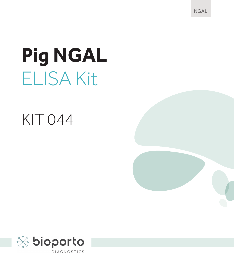NGAL

# **Pig NGAL** ELISA Kit

## KIT 044

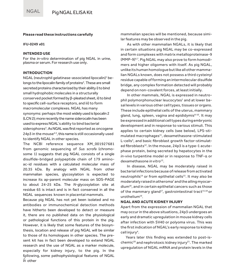#### **Please read these instructions carefully**

#### **IFU-0249 v01**

#### **INTENDED USE**

For the *in-vitro* determination of pig NGAL in urine, plasma or serum. For research use only.

#### **INTRODUCTION**

NGAL (neutrophil gelatinase-associated lipocalin) 1 belongs to the lipocalin family of proteins<sup>2</sup>. These are small secreted proteins characterized by their ability i) to bind small hydrophobic molecules in a structurally conserved pocket formed by β-pleated sheet, ii) tobind to specific cell-surface receptors, and iii) to form macromolecular complexes. NGAL has many synonyms: perhaps the most widely used is lipocalin 2 (LCN 2); more recently the name siderocalin has been used toexpress NGAL's ability to bind bacterial siderophores<sup>3</sup>. As NGAL was first reported as oncogene 24p3 in the mouse4,5 , this name is still occasionally used to identify NGAL in other species.

The NCBI reference sequence XM\_001927681 from genomic sequencing of *Sus scrofa* (chromosome 1) suggests that pig NGAL consists of a single disulfide-bridged polypeptide chain of 179 aminoac-id residues with a calculated molecular mass of 20.35 kDa. By analogy with NGAL from other mammalian species, glycosylation is expected to increase its ap-parent molecular mass on SDS-PAGE to about 24-25 kDa. The *N*-glycosylation site at residue 65 is intact and is in fact conserved in all the NGAL sequences known in placental mammals.

2 in other Because pig NGAL has not yet been isolated and no antibodies or immunochemical detection methods have hitherto been developed to detect or measure it, there are no published data on the physiological or pathological functions of this protein in the pig. However, it is likely that some features of the biosynthesis, location and release of pig NGAL will be similar to those of its homologues in other species. The present kit has in fact been developed to extend NGAL research and the use of NGAL as a marker molecule, especially for kidney injury, to the pig. In the following, some pathophysiological features of NGAL

mammalian species will be mentioned, because similar features may be observed in the pig.

As with other mammalian NGALs, it is likely that in certain situations pig NGAL may be co-expressed and form complexes with matrix metalloproteinase-9 (MMP-9)6,7. Pig NGAL may also prove to form homodimers and higher oligomers with itself. As pig NGAL, unlike its human homologue but like all other mammalian NGALs known, does not possess a third cysteinyl residue capable of forming an intermolecular disulfide bridge, any complex formation detected will probably depend on non-covalent forces, at least initially.

In other mammals, NGAL is expressed in neutrophil polymorphonuclear leucocytes<sup>1</sup> and at lower basal levels in various other cell types, tissues or organs. These include epithelial cells of the uterus, mammary gland, lung, spleen, vagina and epididymis<sup>8-10</sup>. It may be expressed in additional cell types during embryonic development and in response to various stimuli. This applies to certain kidney cells (see below), LPS-stimulated macrophages<sup>11</sup>, dexamethasone-stimulated L-cells<sup>5</sup>, and basic fibroblast growth factor-stimulated fibroblasts<sup>12</sup>. In the mouse, 24p3 is a type-1 acutephase protein, being secreted by hepatocytes in the *in-vivo* turpentine model or in response to TNF-α or dexamethasone *in vitro*13.

In disease, NGAL may be moderately raised in bacterial infections because of release from activated neutrophils<sup>14</sup> or from epithelial cells<sup>15</sup>. It may also be moderately raised in atheroma<sup>7</sup> and the ailing myocardium16, and in certain epithelial cancers such as those of the mammary gland<sup>17</sup>, gastrointestinal tract<sup>15,18</sup> or  $uroth$ elium<sup>19</sup>

#### **NGAL AND ACUTE KIDNEY INJURY**

Apart from the expression of mammalian NGAL that may occur in the above situations, 24p3 undergoes an early and dramatic upregulation in mouse kidney cells after infection with SV40 or polyoma virus. This was the first indication of NGAL's early response to kidney cell injury4.

Years later this finding was extended to post-ischemic<sup>20</sup> and nephrotoxic kidney injury<sup>21</sup>. The marked upregulation of NGAL mRNA and protein levels in the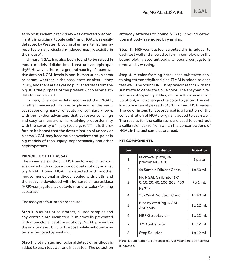early post-ischemic rat kidney was detected predominantly in proximal tubule cells<sup>20</sup> and NGAL was easily detected by Western blotting of urine after ischemiareperfusion and cisplatin-induced nephrotoxicity in the mouse<sup>22</sup>.

Urinary NGAL has also been found to be raised in mouse models of diabetic and obstructive nephropathy23. However, there is a general paucity of quantitative data on NGAL levels in non-human urine, plasma or serum, whether in the basal state or after kidney injury, and there are as yet no published data from the pig. It is the purpose of the present kit to allow such data to be obtained.

In man, it is now widely recognized that NGAL, whether measured in urine or plasma, is the earliest responding marker of acute kidney injury known, with the further advantage that its response is high and easy to measure while retaining proportionality with the severity of injury (see e.g. ref.<sup>24</sup>). It is therefore to be hoped that the determination of urinary or plasma NGAL may become a convenient end-point in pig models of renal injury, nephrotoxicity and other nephropathies.

#### **PRINCIPLE OF THE ASSAY**

The assay is a sandwich ELISA performed in microwells coated with a mouse monoclonal antibody against pig NGAL. Bound NGAL is detected with another mouse monoclonal antibody labeled with biotin and the assay is developed with horseradish peroxidase (HRP)-conjugated streptavidin and a color-forming substrate.

The assay is a four-step procedure:

**Step 1.** Aliquots of calibrators, diluted samples and any controls are incubated in microwells precoated with monoclonal capture antibody. NGAL present in the solutions will bind to the coat, while unbound material is removed by washing.

**Step 2**. Biotinylated monoclonal detection antibody is added to each test well and incubated. The detection antibody attaches to bound NGAL; unbound detection antibody is removed by washing.

**Step 3**. HRP-conjugated streptavidin is added to each test well and allowed to form a complex with the bound biotinylated antibody. Unbound conjugate is removed by washing.

**Step 4**. A color-forming peroxidase substrate containing tetramethylbenzidine (TMB) is added to each test well. The bound HRP-streptavidin reacts with the substrate to generate a blue color. The enzymatic reaction is stopped by adding dilute sulfuric acid (Stop Solution), which changes the color to yellow. The yellow color intensity is read at 450 nm in an ELISA reader. The color intensity (absorbance) is a function of the concentration of NGAL originally added to each well. The results for the calibrators are used to construct a calibration curve from which the concentrations of NGAL in the test samples are read.

#### **KIT COMPONENTS**

| Item           | <b>Contents</b>                                                   | Quantity         |
|----------------|-------------------------------------------------------------------|------------------|
| 1              | Microwell plate, 96<br>precoated wells                            | 1 plate          |
| $\overline{c}$ | 5x Sample Diluent Conc.                                           | 1x50mL           |
| 3              | Pig NGAL Calibrator 1-7.<br>0, 10, 20, 40, 100, 200, 400<br>pg/mL | 7x1mL            |
| 4              | 25x Wash Solution Conc.                                           | $1 \times 40$ mL |
| 5              | Biotinylated Pig-NGAL<br>Antibody                                 | $1 \times 12$ mL |
| 6              | HRP-Streptavidin                                                  | $1 \times 12$ mL |
| 7              | <b>TMB Substrate</b>                                              | $1 \times 12$ mL |
| 8              | <b>Stop Solution</b>                                              | $1 \times 12$ mL |

**Note:** Liquid reagents contain preservative and may be harmful if ingested.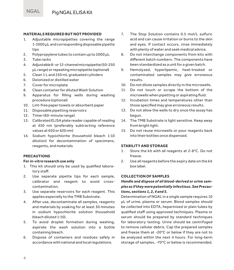### **MATERIALS REQUIRED BUT NOT PROVIDED**

- Adjustable micropipettes covering the range 1-1000 μL and corresponding disposable pipette tins
- 2. Polypropylene tubes to contain up to 2000 μL
- 3. Tube racks<br>4. Adjustable
- 4. Adjustable 8- or 12-channel micropipette (50-250 μL range) or repeating micropipette (optional)
- 5. Clean 1 L and 250 mL graduated cylinders<br>6. Dejonized or distilled water
- 6. Deionized or distilled water<br>7 Cover for microplate
- Cover for microplate
- 8. Clean container for diluted Wash Solution<br>9. Annaratus, for filling, wells, during, w
- Apparatus for filling wells during washing procedure (optional)
- 10. Lint-free paper towels or absorbent paper
- 11. Disposable pipetting reservoirs
- 12. Timer (60-minute range)
- 13. Calibrated ELISA plate reader capable of reading at 450 nm (preferably subtracting reference values at 650 or 620 nm)
- 14. Sodium hypochlorite (household bleach 1:10 dilution) for decontamination of specimens, reagents, and materials

#### **PRECAUTIONS**

#### **For** *in-vitro* **research use only**

- 1. This kit should only be used by qualified laboratory staff.
- 2. Use separate pipette tips for each sample, calibrator and reagent to avoid crosscontamination.
- 3. Use separate reservoirs for each reagent. This applies especially to the TMB Substrate.
- 4. After use, decontaminate all samples, reagents and materials by soaking for at least 30 minutes in sodium hypochlorite solution (household bleach diluted 1:10).
- 5. To avoid droplet formation during washing, aspirate the wash solution into a bottle containing bleach.
- 6. Dispose of containers and residues safely in accordance with national and local regulations.
- 7. The Stop Solution contains 0.5 mol/L sulfuric acid and can cause irritation or burns to the skin and eyes. If contact occurs, rinse immediately with plenty of water and seek medical advice.
- 8. Do not interchange components from kits with different batch numbers. The components have been standardized as a unit for a given batch.
- 9. Hemolyzed, hyperlipemic, heat-treated or contaminated samples may give erroneous results.
- 10. Do not dilute samples directly in the microwells.
- 11. Do not touch or scrape the bottom of the microwells when pipetting or aspirating fluid.
- 12. Incubation times and temperatures other than those specified may give erroneous results.
- 13. Do not allow the wells to dry once the assay has begun.
- 14. The TMB Substrate is light sensitive. Keep away from bright light.
- 15. Do not reuse microwells or pour reagents back into their bottles once dispensed.

#### **STABILITY AND STORAGE**

- 1. Store the kit with all reagents at 2-8°C. Do not freeze.
- 2. Use all reagents before the expiry date on the kit box label.

#### **COLLECTION OF SAMPLES**

#### *Handle and dispose of all blood-derived or urine samples as if they were potentially infectious. See Precautions, sections 1, 2, 4 and 5.*

Determination of NGAL in a single sample requires 10 μL of urine, plasma or serum. Blood samples should be collected into EDTA, heparinized or plain tubes by qualified staff using approved techniques. Plasma or serum should be prepared by standard techniques for laboratory testing. Urine should be centrifuged to remove cellular debris. Cap the prepared samples and freeze them at -20°C or below if they are not to be analyzed within the next 4 hours. For long-term storage of samples, -70°C or below is recommended.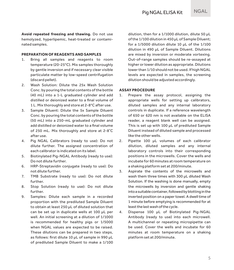**Avoid repeated freezing and thawing.** Do not use hemolyzed, hyperlipemic, heat-treated or contaminated samples.

#### **PREPARATION OF REAGENTS AND SAMPLES**

- 1. Bring all samples and reagents to room temperature (20-25°C). Mix samples thoroughly by gentle inversion and if necessary clear visible particulate matter by low-speed centrifugation (discard pellet).
- 2. Wash Solution: Dilute the 25x Wash Solution Conc. by pouring the total contents of the bottle (40 mL) into a 1-L graduated cylinder and add distilled or deionized water to a final volume of 1 L. Mix thoroughly and store at 2-8°C after use.
- 3. Sample Diluent: Dilute the 5x Sample Diluent Conc. by pouring the total contents of the bottle (50 mL) into a 250-mL graduated cylinder and add distilled or deionized water to a final volume of 250 mL. Mix thoroughly and store at 2-8˚C after use.
- 4. Pig NGAL Calibrators (ready to use): Do not dilute further. The assigned concentration of each calibrator is indicated on its label.
- 5. Biotinylated Pig-NGAL Antibody (ready to use): Do not dilute further.
- 6. HRP-Streptavidin conjugate (ready to use): Do not dilute further.
- 7. TMB Substrate (ready to use): Do not dilute further.
- 8. Stop Solution (ready to use): Do not dilute further.
- 9. Samples: Dilute each sample in a recorded proportion with the prediluted Sample Diluent to obtain at least 250 μL of diluted solution that can be set up in duplicate wells at 100 μL per well. An initial screening at a dilution of 1/1000 is recommended for healthy pigs or 1/5000 when NGAL values are expected to be raised. These dilutions can be prepared in two steps, as follows: first dilute 10 μL of sample in 990 μL of prediluted Sample Diluent to make a 1/100

dilution, then for a 1/1000 dilution, dilute 50 µL of the 1/100 dilution in 450 µL of Sample Diluent; for a 1/5000 dilution dilute 10 µL of the 1/100 dilution in 490 µL of Sample Diluent. Dilutions are mixed by inversion or moderate vortexing. Out-of-range samples should be re-assayed at higher or lower dilution as appropriate. Dilutions lower than 1/10 should not be used. If high NGAL levels are expected in samples, the screening dilution should be adjusted accordingly.

### **ASSAY PROCEDURE**

- Prepare the assay protocol, assigning the appropriate wells for setting up calibrators, diluted samples and any internal laboratory controls in duplicate. If a reference wavelength of 650 or 620 nm is not available on the ELISA reader, a reagent blank well can be assigned. This is set up with 100 μL of prediluted Sample Diluent instead of diluted sample and processed like the other wells.
- 2. Pipette 100 μL volumes of each calibrator dilution, diluted samples and any internal laboratory controls into their corresponding positions in the microwells. Cover the wells and incubate for 60 minutes at room temperature on a shaking platform set at 200/minute.
- 3. Aspirate the contents of the microwells and wash them three times with 300 μL diluted Wash Solution. If the washing is done manually, empty the microwells by inversion and gentle shaking into a suitable container, followed by blotting in the inverted position on a paper towel. A dwell time of 1 minute before emptying is recommended for at least the last wash of the cycle.
- 4. Dispense 100 μL of Biotinylated Pig-NGAL Antibody (ready to use) into each microwell. A multichannel or repeating micropipette can be used. Cover the wells and incubate for 60 minutes at room temperature on a shaking platform set at 200/minute.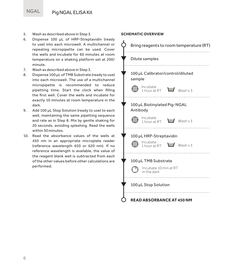- 5. Wash as described above in Step 3.<br>6. Dispense 100 uL of HRP-Strept
- 6. Dispense 100 μL of HRP-Streptavidin (ready to use) into each microwell. A multichannel or repeating micropipette can be used. Cover the wells and incubate for 60 minutes at room temperature on a shaking platform set at 200/ minute.
- 7. Wash as described above in Step 3.
- 8. Dispense 100 μL of TMB Substrate (ready to use) into each microwell. The use of a multichannel micropipette is recommended to reduce pipetting time. Start the clock when filling the first well. Cover the wells and incubate for exactly 10 minutes at room temperature in the dark.
- 9. Add 100 μL Stop Solution (ready to use) to each well, maintaining the same pipetting sequence and rate as in Step 8. Mix by gentle shaking for 20 seconds, avoiding splashing. Read the wells within 30 minutes.
- 10. Read the absorbance values of the wells at 450 nm in an appropriate microplate reader (reference wavelength 650 or 620 nm). If no reference wavelength is available, the value of the reagent blank well is subtracted from each of the other values before other calculations are performed.

#### **SCHEMATIC OVERVIEW**

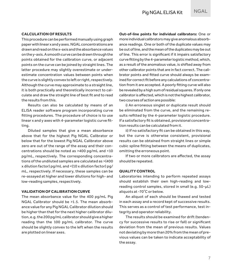**CALCULATION OF RESULTS**

This procedure can be performed manually using graph paper with linear x and y axes. NGAL concentrations are drawn and read on the x-axis and the absorbance values on the y-axis. A smooth curve can be drawn through the points obtained for the calibration curve, or adjacent points on the curve can be joined by straight lines. The latter procedure may slightly overestimate or underestimate concentration values between points when the curve is slightly convex to left or right, respectively. Although the curve may approximate to a straight line, it is both practically and theoretically incorrect to calculate and draw the straight line of best fit and to read the results from this.

Results can also be calculated by means of an ELISA reader software program incorporating curve fitting procedures. The procedure of choice is to use linear x and y axes with 4-parameter logistic curve fitting.

Diluted samples that give a mean absorbance above that for the highest Pig NGAL Calibrator or below that for the lowest Pig NGAL Calibrator above zero are out of the range of the assay and their concentrations should be noted as >400 pg/mL and <10 pg/mL, respectively. The corresponding concentrations of the undiluted samples are calculated as >(400 x dilution factor) pg/mL and <(10 x dilution factor) pg/ mL, respectively. If necessary, these samples can be re-assayed at higher and lower dilutions for high- and low-reading samples, respectively.

#### **VALIDATION OF CALIBRATION CURVE**

The mean absorbance value for the 400 pg/mL Pig NGAL Calibrator should be >1.5. The mean absorbance value for any Pig NGAL Calibrator dilution should be higher than that for the next higher calibrator dilution, e.g. the 200 pg/mL calibrator should give a higher reading than the 100 pg/mL calibrator. The curve should be slightly convex to the left when the results are plotted on linear axes.

**Out-of-line points for individual calibrators:** One or more individual calibrators may give anomalous absorbance readings. One or both of the duplicate values may be out of line, and the mean of the duplicates may be out of line. This error is significant if it impairs satisfactory curve fitting by the 4-parameter logistic method, which, as a result of the anomalous value, is shifted away from other calibrator points that are in fact correct. The calibrator points and fitted curve should always be examined for correct fit before any calculations of concentration from it are accepted. A poorly fitting curve will also be revealed by a high sum of residual squares. If only one calibrator is affected, which is not the highest calibrator, two courses of action are possible:

i) An erroneous singlet or duplicate result should be eliminated from the curve, and the remaining results refitted by the 4-parameter logistic procedure. If a satisfactory fit is obtained, provisional concentration results can be calculated from it.

ii) If no satisfactory fit can be obtained in this way, but the curve is otherwise consistent, provisional results can be obtained from straight lines or simple cubic spline fitting between the means of duplicates, omitting the erroneous point.

If two or more calibrators are affected, the assay should be repeated.

#### **QUALITY CONTROL**

Laboratories intending to perform repeated assays should establish their own high-reading and lowreading control samples, stored in small (e.g. 50-μL) aliquots at -70˚C or below.

An aliquot of each should be thawed and tested in each assay and a record kept of successive results. This serves as a control of test performance, test integrity and operator reliability.

The results should be examined for drift (tendency for successive results to rise or fall) or significant deviation from the mean of previous results. Values not deviating by more than 20% from the mean of previous values can be taken to indicate acceptability of the assay.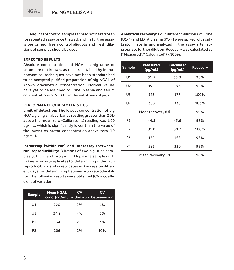Aliquots of control samples should not be refrozen for repeated assay once thawed, and if a further assay is performed, fresh control aliquots and fresh dilutions of samples should be used.

#### **EXPECTED RESULTS**

Absolute concentrations of NGAL in pig urine or serum are not known, as results obtained by immunochemical techniques have not been standardized to an accepted purified preparation of pig NGAL of known gravimetric concentration. Normal values have yet to be assigned to urine, plasma and serum concentrations of NGAL in different strains of pigs.

#### **PERFORMANCE CHARACTERISTICS**

**Limit of detection:** The lowest concentration of pig NGAL giving an absorbance reading greater than 2 SD above the mean zero (Calibrator 1) reading was 1.00 pg/mL, which is significantly lower than the value of the lowest calibrator concentration above zero (10 pg/mL).

**Intraassay (within-run) and interassay (betweenrun) reproducibility:** Dilutions of two pig urine samples (U1, U2) and two pig EDTA plasma samples (P1, P2) were run in 8 replicates for determining within-run reproducibility and in replicates in 3 assays on different days for determining between-run reproducibility. The following results were obtained (CV = coefficient of variation):

| <b>Sample</b>  | <b>Mean NGAL</b><br>conc. (ng/mL) within-run between-run | Cν | CV  |
|----------------|----------------------------------------------------------|----|-----|
| U1             | 220                                                      | 2% | 4%  |
| U <sub>2</sub> | 34.2                                                     | 4% | 5%  |
| P <sub>1</sub> | 134                                                      | 2% | 3%  |
| P <sub>2</sub> | 206                                                      | 2% | 10% |

**Analytical recovery:** Four different dilutions of urine (U1-4) and EDTA plasma (P1-4) were spiked with calibrator material and analyzed in the assay after appropriate further dilution. Recovery was calculated as ("Measured"/"Calculated") x 100%:

| <b>Sample</b>     | <b>Measured</b><br>(pg/mL) | <b>Calculated</b><br>(pg/mL) | <b>Recovery</b> |
|-------------------|----------------------------|------------------------------|-----------------|
| U1                | 51.5                       | 53.3                         | 96%             |
| U <sub>2</sub>    | 85.1                       | 88.5                         | 96%             |
| U3                | 175                        | 177                          | 100%            |
| U4                | 350                        | 338                          | 103%            |
| Mean recovery (U) |                            |                              | 99%             |
| P <sub>1</sub>    | 44.5                       | 45.6                         | 98%             |
| P <sub>2</sub>    | 81.0                       | 80.7                         | 100%            |
| P3                | 162                        | 168                          | 96%             |
| P <sub>4</sub>    | 326                        | 330                          | 99%             |
| Mean recovery (P) |                            |                              | 98%             |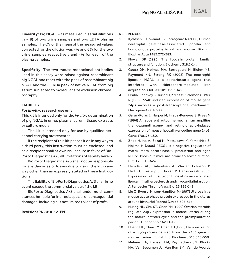**Linearity:** Pig NGAL was measured in serial dilutions (n = 8) of two urine samples and two EDTA plasma samples. The CV of the mean of the measured values corrected for the dilution was 4% and 6% for the two urine samples respectively and 4% for each of the plasma samples.

**Specificity:** The two mouse monoclonal antibodies used in this assay were raised against recombinant pig NGAL and react with the peak of recombinant pig NGAL and the 25-kDa peak of native NGAL from pig serum subjected to molecular size exclusion chromatography.

#### **LIABILITY**

#### **For** *in-vitro* **research use only**

This kit is intended only for the *in-vitro* determination of pig NGAL in urine, plasma, serum, tissue extracts or culture media.

The kit is intended only for use by qualified personnel carrying out research.

If the recipient of this kit passes it on in any way to a third party, this instruction must be enclosed, and said recipient shall at own risk secure in favor of Bio-Porto Diagnostics A/S all limitations of liability herein.

BioPorto Diagnostics A/S shall not be responsible for any damages or losses due to using the kit in any way other than as expressly stated in these Instructions.

The liability of BioPorto Diagnostics A/S shall in no event exceed the commercial value of the kit.

BioPorto Diagnostics A/S shall under no circumstances be liable for indirect, special or consequential damages, including but not limited to loss of profit.

#### **Revision: PN2010-12-EN**

#### **REFERENCES**

- 1. Kjeldsen L, Cowland JB, Borregaard N (2000) Human neutrophil gelatinase-associated lipocalin and homologous proteins in rat and mouse. Biochim Biophys Acta 1482:272-283.
- 2. Flower DR (1996) The lipocalin protein family: structure and function. Biochem J 318:1-14.
- 3. Goetz DH, Holmes MA, Borregaard N, Bluhm ME, Raymond KN, Strong RK (2002) The neutrophil lipocalin NGAL is a bacteriostatic agent that interferes with siderophore-mediated iron acquisition. Mol Cell 10:1033-1043.
- 4. Hraba-Renevey S, Turler H, Kress M, Salomon C, Weil R (1989) SV40-induced expression of mouse gene 24p3 involves a post-transcriptional mechanism. Oncogene 4:601-608.
- 5. Garay-Rojas E, Harper M, Hraba-Renevey S, Kress M (1996) An apparent autocrine mechanism amplifies the dexamethasone- and retinoic acid-induced expression of mouse lipocalin-encoding gene 24p3. Gene 170:173-180.
- 6. Zhao H, Ito A, Sakai N, Matsuzawa Y, Yamashita S, Nojima H (2006) RECS1 is a negative regulator of matrix metalloproteinase-9 production and aged RECS1 knockout mice are prone to aortic dilation. Circ J 70:615-624.
- 7. Hemdahl AL, Gabrielsen A, Zhu C, Eriksson P, Hedin U, Kastrup J, Thorén P, Hansson GK (2006) Expression of neutrophil gelatinase-associated lipocalin in atherosclerosis and myocardial infarction. Arterioscler Thromb Vasc Biol 26:136-142.
- 8. Liu Q, Ryon J, Nilsen-Hamilton M (1997) Uterocalin: a mouse acute phase protein expressed in the uterus around birth. Mol Reprod Dev 46:507-514.
- 9. Huang HL, Chu ST, Chen YH (1999) Ovarian steroids regulate 24p3 expression in mouse uterus during the natural estrous cycle and the preimplantation period. J Endocrinol 162:11-19.
- 10. Huang HL, Chen JM, Chen YH (1996) Demonstration of a glycoprotein derived from the 24p3 gene in mouse uterine luminal fluid. Biochem J 316:545-550.
- 11. Meheus LA, Fransen LM, Raymackers JG, Blockx HA, Van Beeumen JJ, Van Bun SM, Van de Voorde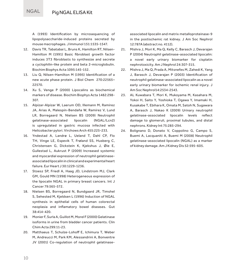A (1993) Identification by microsequencing of lipopolysaccharide-induced proteins secreted by mouse macrophages. J Immunol 151:1535-1547.

- 12. Davis TR, Tabatabai L, Bruns K, Hamilton RT, Nilsen-Hamilton M (1991) Basic fibroblast growth factor induces 3T3 fibroblasts to synthesize and secrete a cyclophilin-like protein and beta 2-microglobulin. Biochim Biophys Acta 1095:145-152.
- 13. Liu Q, Nilsen-Hamilton M (1995) Identification of a new acute phase protein. J Biol Chem 270:22565– 22570.
- 14. Xu S, Venge P (2000) Lipocalins as biochemical markers of disease. Biochim Biophys Acta 1482:298- 307.
- 15. Alpízar-Alpízar W, Laerum OD, Illemann M, Ramírez JA, Arias A, Malespín-Bendaña W, Ramírez V, Lund LR, Borregaard N, Nielsen BS (2009) Neutrophil gelatinase-associated lipocalin (NGAL/Lcn2) is upregulated in gastric mucosa infected with Helicobacter pylori. Virchows Arch 455:225-233.
- 16. Yndestad A, Landrø L, Ueland T, Dahl CP, Flo TH, Vinge LE, Espevik T, Frøland SS, Husberg C, Christensen G, Dickstein K, Kjekshus J, Øie E, Gullestad L, Aukrust P (2009) Increased systemic and myocardial expression of neutrophil gelatinaseassociated lipocalin in clinical and experimental heart failure. Eur Heart J 30:1229-1236.
- 17. Stoesz SP, Friedl A, Haag JD, Lindstrom MJ, Clark GM, Gould MN (1998) Heterogeneous expression of the lipocalin NGAL in primary breast cancers. Int J Cancer 79:565-572.
- 18. Nielsen BS, Borregaard N, Bundgaard JR, Timshel S, Sehested M, Kjeldsen L (1996) Induction of NGAL synthesis in epithelial cells of human colorectal neoplasia and inflamatory bowel diseases. Gut 38:414-420.
- 19. Monier F, Surla A, Guillot M, Morel F (2000) Gelatinase isoforms in urine from bladder cancer patients. Clin Chim Acta 299:11-23.
- 20. Matthaeus T, Schulze-Lohoff E, Ichimura T, Weber M, Andreucci M, Park KM, Alessandrini A, Bonventre JV (2001) Co-regulation of neutrophil gelatinase-

associated lipocalin and matrix metalloproteinase-9 in the postischemic rat kidney. J Am Soc Nephrol 12:787A (abstract no. 4112).

- 21. Mishra J, Mori K, Ma Q, Kelly C, Barasch J, Devarajan P (2004) Neutrophil gelatinase-associated lipocalin: a novel early urinary biomarker for cisplatin nephrotoxicity. Am J Nephrol 24:307-315.
- 22. Mishra J, Ma Q, Prada A, Mitsnefes M, Zahedi K, Yang J, Barasch J, Devarajan P (2003) Identification of neutrophil gelatinase-associated lipocalin as a novel early urinary biomarker for ischemic renal injury. J Am Soc Nephrol14:2534-2543.
- 23. AL Kuwabara T, Mori K, Mukoyama M, Kasahara M, Yokoi H, Saito Y, Yoshioka T, Ogawa Y, Imamaki H, Kusakabe T, Ebihara K, Omata M, Satoh N, Sugawara A, Barasch J, Nakao K (2009) Urinary neutrophil gelatinase-associated lipocalin levels reflect damage to glomeruli, proximal tubules, and distal nephrons. Kidney Int 75:285-294.
- 24. Bolignano D, Donato V, Coppolino G, Campo S, Buemi A, Lacquaniti A, Buemi M (2008) Neutrophil gelatinase-associated lipocalin (NGAL) as a marker of kidney damage. Am J Kidney Dis 52:595-605.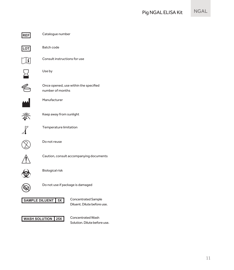

**REF** Catalogue number

**LOT** Batch code



Consult instructions for use



Use by



Once opened, use within the specified number of months



Manufacturer



Keep away from sunlight

**8˚C** Temperature limitation





Do not reuse



Caution, consult accompanying documents



Biological risk



Do not use if package is damaged



Diluent. Dilute before use.



Solution. Dilute before use.